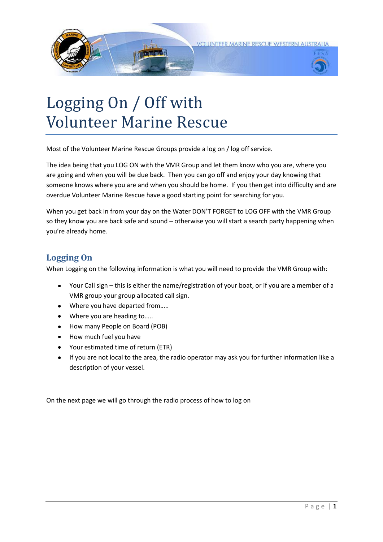



## Logging On / Off with Volunteer Marine Rescue

Most of the Volunteer Marine Rescue Groups provide a log on / log off service.

The idea being that you LOG ON with the VMR Group and let them know who you are, where you are going and when you will be due back. Then you can go off and enjoy your day knowing that someone knows where you are and when you should be home. If you then get into difficulty and are overdue Volunteer Marine Rescue have a good starting point for searching for you.

When you get back in from your day on the Water DON'T FORGET to LOG OFF with the VMR Group so they know you are back safe and sound – otherwise you will start a search party happening when you're already home.

## **Logging On**

When Logging on the following information is what you will need to provide the VMR Group with:

- Your Call sign this is either the name/registration of your boat, or if you are a member of a VMR group your group allocated call sign.
- Where you have departed from.....
- $\bullet$ Where you are heading to…..
- How many People on Board (POB)
- How much fuel you have
- Your estimated time of return (ETR)
- $\bullet$ If you are not local to the area, the radio operator may ask you for further information like a description of your vessel.

On the next page we will go through the radio process of how to log on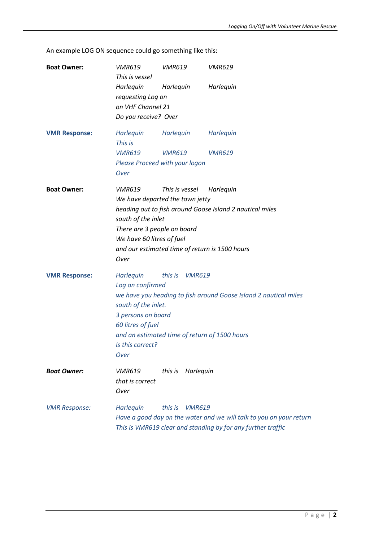An example LOG ON sequence could go something like this:

| <b>Boat Owner:</b>   | <b>VMR619</b><br>This is vessel                                                                                                                                                                                                                                                         | <b>VMR619</b>                                                | <b>VMR619</b>                                                                                                                       |  |  |
|----------------------|-----------------------------------------------------------------------------------------------------------------------------------------------------------------------------------------------------------------------------------------------------------------------------------------|--------------------------------------------------------------|-------------------------------------------------------------------------------------------------------------------------------------|--|--|
|                      | Harlequin<br>Harlequin<br>Harlequin<br>requesting Log on<br>on VHF Channel 21<br>Do you receive? Over                                                                                                                                                                                   |                                                              |                                                                                                                                     |  |  |
| <b>VMR Response:</b> | Harlequin<br>This is<br><b>VMR619</b><br>Over                                                                                                                                                                                                                                           | Harlequin<br><b>VMR619</b><br>Please Proceed with your logon | Harlequin<br><b>VMR619</b>                                                                                                          |  |  |
| <b>Boat Owner:</b>   | <b>VMR619</b><br>This is vessel<br>Harlequin<br>We have departed the town jetty<br>heading out to fish around Goose Island 2 nautical miles<br>south of the inlet<br>There are 3 people on board<br>We have 60 litres of fuel<br>and our estimated time of return is 1500 hours<br>Over |                                                              |                                                                                                                                     |  |  |
| <b>VMR Response:</b> | Harlequin<br>this is VMR619<br>Log on confirmed<br>we have you heading to fish around Goose Island 2 nautical miles<br>south of the inlet.<br>3 persons on board<br>60 litres of fuel<br>and an estimated time of return of 1500 hours<br>Is this correct?<br>Over                      |                                                              |                                                                                                                                     |  |  |
| <b>Boat Owner:</b>   | <i>VMR619</i><br>that is correct<br>Over                                                                                                                                                                                                                                                | Harlequin<br>this is                                         |                                                                                                                                     |  |  |
| <b>VMR Response:</b> | Harlequin                                                                                                                                                                                                                                                                               | this is<br><b>VMR619</b>                                     | Have a good day on the water and we will talk to you on your return<br>This is VMR619 clear and standing by for any further traffic |  |  |